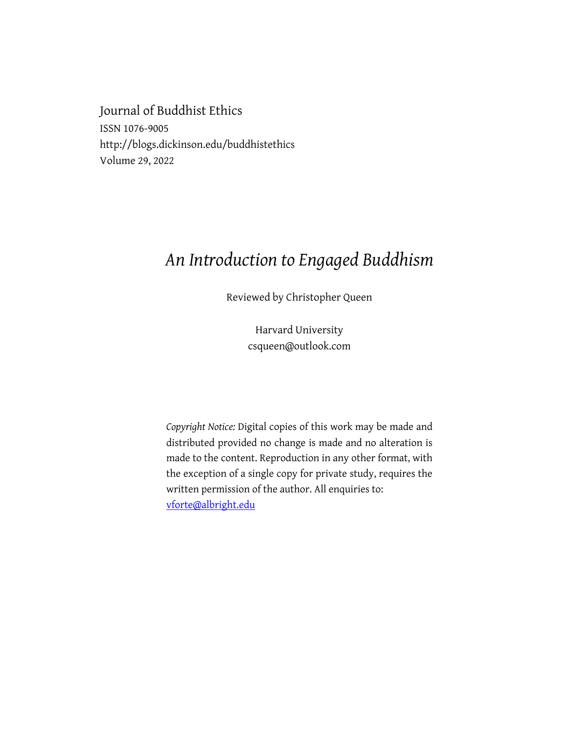Journal of Buddhist Ethics ISSN 1076-9005 http://blogs.dickinson.edu/buddhistethics Volume 29, 2022

## *An Introduction to Engaged Buddhism*

Reviewed by Christopher Queen

Harvard University csqueen@outlook.com

*Copyright Notice:* Digital copies of this work may be made and distributed provided no change is made and no alteration is made to the content. Reproduction in any other format, with the exception of a single copy for private study, requires the written permission of the author. All enquiries to: vforte@albright.edu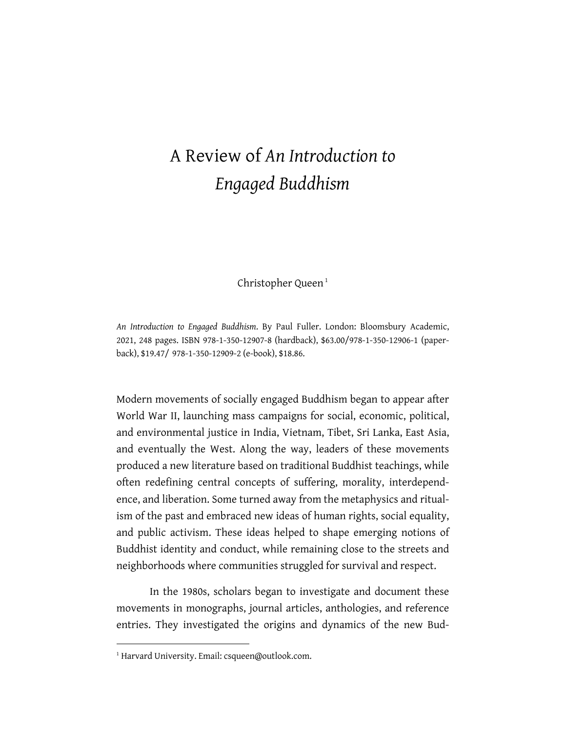## A Review of *An Introduction to Engaged Buddhism*

Christopher Queen<sup>1</sup>

*An Introduction to Engaged Buddhism*. By Paul Fuller. London: Bloomsbury Academic, 2021, 248 pages. ISBN 978-1-350-12907-8 (hardback), \$63.00/978-1-350-12906-1 (paperback), \$19.47/ 978-1-350-12909-2 (e-book), \$18.86.

Modern movements of socially engaged Buddhism began to appear after World War II, launching mass campaigns for social, economic, political, and environmental justice in India, Vietnam, Tibet, Sri Lanka, East Asia, and eventually the West. Along the way, leaders of these movements produced a new literature based on traditional Buddhist teachings, while often redefining central concepts of suffering, morality, interdependence, and liberation. Some turned away from the metaphysics and ritualism of the past and embraced new ideas of human rights, social equality, and public activism. These ideas helped to shape emerging notions of Buddhist identity and conduct, while remaining close to the streets and neighborhoods where communities struggled for survival and respect.

In the 1980s, scholars began to investigate and document these movements in monographs, journal articles, anthologies, and reference entries. They investigated the origins and dynamics of the new Bud-

<sup>&</sup>lt;sup>1</sup> Harvard University. Email: csqueen@outlook.com.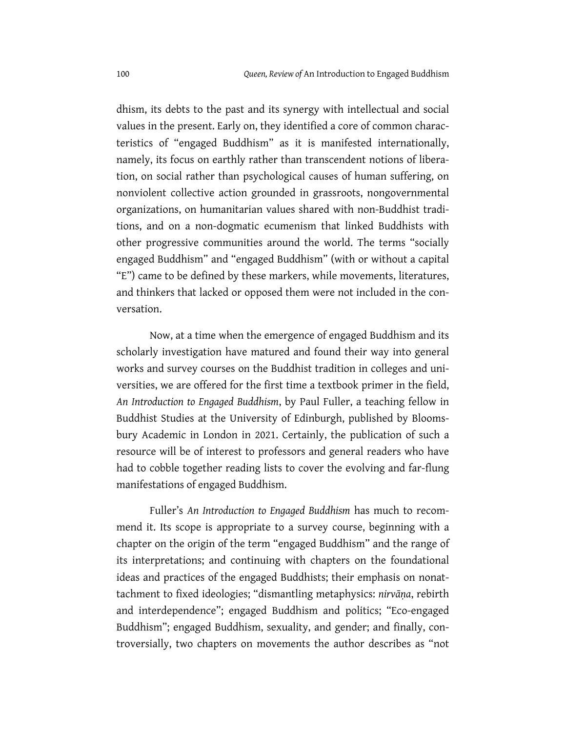dhism, its debts to the past and its synergy with intellectual and social values in the present. Early on, they identified a core of common characteristics of "engaged Buddhism" as it is manifested internationally, namely, its focus on earthly rather than transcendent notions of liberation, on social rather than psychological causes of human suffering, on nonviolent collective action grounded in grassroots, nongovernmental organizations, on humanitarian values shared with non-Buddhist traditions, and on a non-dogmatic ecumenism that linked Buddhists with other progressive communities around the world. The terms "socially engaged Buddhism" and "engaged Buddhism" (with or without a capital "E") came to be defined by these markers, while movements, literatures, and thinkers that lacked or opposed them were not included in the conversation.

Now, at a time when the emergence of engaged Buddhism and its scholarly investigation have matured and found their way into general works and survey courses on the Buddhist tradition in colleges and universities, we are offered for the first time a textbook primer in the field, *An Introduction to Engaged Buddhism*, by Paul Fuller, a teaching fellow in Buddhist Studies at the University of Edinburgh, published by Bloomsbury Academic in London in 2021. Certainly, the publication of such a resource will be of interest to professors and general readers who have had to cobble together reading lists to cover the evolving and far-flung manifestations of engaged Buddhism.

Fuller's *An Introduction to Engaged Buddhism* has much to recommend it. Its scope is appropriate to a survey course, beginning with a chapter on the origin of the term "engaged Buddhism" and the range of its interpretations; and continuing with chapters on the foundational ideas and practices of the engaged Buddhists; their emphasis on nonattachment to fixed ideologies; "dismantling metaphysics: *nirvāṇa*, rebirth and interdependence"; engaged Buddhism and politics; "Eco-engaged Buddhism"; engaged Buddhism, sexuality, and gender; and finally, controversially, two chapters on movements the author describes as "not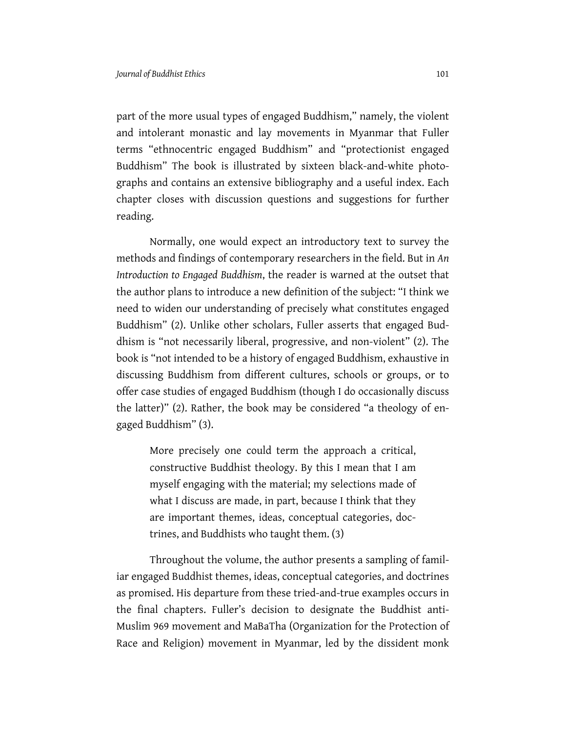part of the more usual types of engaged Buddhism," namely, the violent and intolerant monastic and lay movements in Myanmar that Fuller terms "ethnocentric engaged Buddhism" and "protectionist engaged Buddhism" The book is illustrated by sixteen black-and-white photographs and contains an extensive bibliography and a useful index. Each chapter closes with discussion questions and suggestions for further reading.

Normally, one would expect an introductory text to survey the methods and findings of contemporary researchers in the field. But in *An Introduction to Engaged Buddhism*, the reader is warned at the outset that the author plans to introduce a new definition of the subject: "I think we need to widen our understanding of precisely what constitutes engaged Buddhism" (2). Unlike other scholars, Fuller asserts that engaged Buddhism is "not necessarily liberal, progressive, and non-violent" (2). The book is "not intended to be a history of engaged Buddhism, exhaustive in discussing Buddhism from different cultures, schools or groups, or to offer case studies of engaged Buddhism (though I do occasionally discuss the latter)" (2). Rather, the book may be considered "a theology of engaged Buddhism" (3).

More precisely one could term the approach a critical, constructive Buddhist theology. By this I mean that I am myself engaging with the material; my selections made of what I discuss are made, in part, because I think that they are important themes, ideas, conceptual categories, doctrines, and Buddhists who taught them. (3)

Throughout the volume, the author presents a sampling of familiar engaged Buddhist themes, ideas, conceptual categories, and doctrines as promised. His departure from these tried-and-true examples occurs in the final chapters. Fuller's decision to designate the Buddhist anti-Muslim 969 movement and MaBaTha (Organization for the Protection of Race and Religion) movement in Myanmar, led by the dissident monk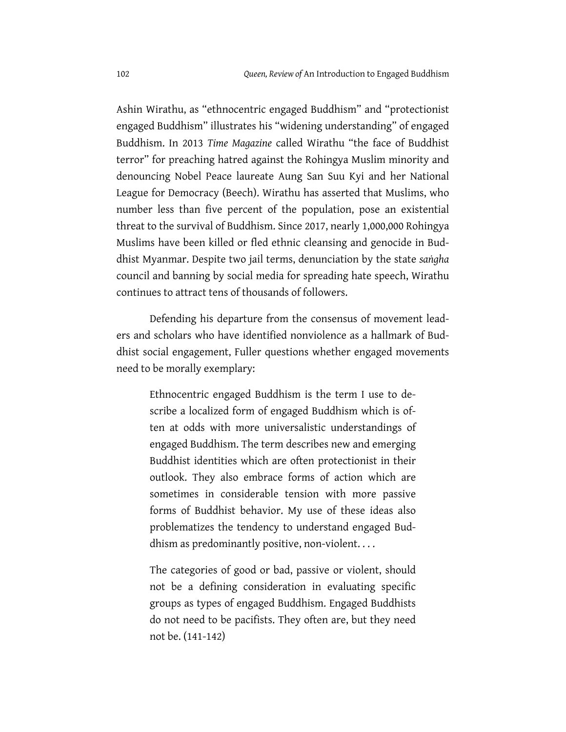Ashin Wirathu, as "ethnocentric engaged Buddhism" and "protectionist engaged Buddhism" illustrates his "widening understanding" of engaged Buddhism. In 2013 *Time Magazine* called Wirathu "the face of Buddhist terror" for preaching hatred against the Rohingya Muslim minority and denouncing Nobel Peace laureate Aung San Suu Kyi and her National League for Democracy (Beech). Wirathu has asserted that Muslims, who number less than five percent of the population, pose an existential threat to the survival of Buddhism. Since 2017, nearly 1,000,000 Rohingya Muslims have been killed or fled ethnic cleansing and genocide in Buddhist Myanmar. Despite two jail terms, denunciation by the state *saṅgha* council and banning by social media for spreading hate speech, Wirathu continues to attract tens of thousands of followers.

Defending his departure from the consensus of movement leaders and scholars who have identified nonviolence as a hallmark of Buddhist social engagement, Fuller questions whether engaged movements need to be morally exemplary:

Ethnocentric engaged Buddhism is the term I use to describe a localized form of engaged Buddhism which is often at odds with more universalistic understandings of engaged Buddhism. The term describes new and emerging Buddhist identities which are often protectionist in their outlook. They also embrace forms of action which are sometimes in considerable tension with more passive forms of Buddhist behavior. My use of these ideas also problematizes the tendency to understand engaged Buddhism as predominantly positive, non-violent. . . .

The categories of good or bad, passive or violent, should not be a defining consideration in evaluating specific groups as types of engaged Buddhism. Engaged Buddhists do not need to be pacifists. They often are, but they need not be. (141-142)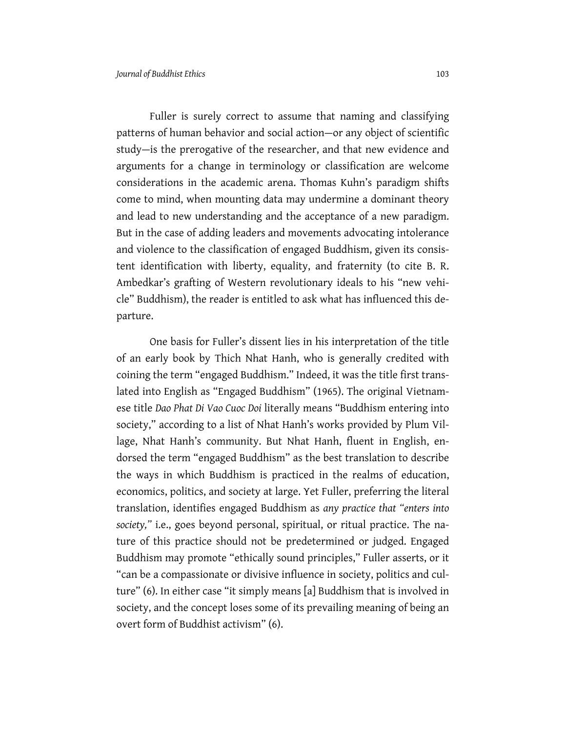Fuller is surely correct to assume that naming and classifying patterns of human behavior and social action—or any object of scientific study—is the prerogative of the researcher, and that new evidence and arguments for a change in terminology or classification are welcome considerations in the academic arena. Thomas Kuhn's paradigm shifts come to mind, when mounting data may undermine a dominant theory and lead to new understanding and the acceptance of a new paradigm. But in the case of adding leaders and movements advocating intolerance and violence to the classification of engaged Buddhism, given its consistent identification with liberty, equality, and fraternity (to cite B. R. Ambedkar's grafting of Western revolutionary ideals to his "new vehicle" Buddhism), the reader is entitled to ask what has influenced this departure.

One basis for Fuller's dissent lies in his interpretation of the title of an early book by Thich Nhat Hanh, who is generally credited with coining the term "engaged Buddhism." Indeed, it was the title first translated into English as "Engaged Buddhism" (1965). The original Vietnamese title *Dao Phat Di Vao Cuoc Doi* literally means "Buddhism entering into society," according to a list of Nhat Hanh's works provided by Plum Village, Nhat Hanh's community. But Nhat Hanh, fluent in English, endorsed the term "engaged Buddhism" as the best translation to describe the ways in which Buddhism is practiced in the realms of education, economics, politics, and society at large. Yet Fuller, preferring the literal translation, identifies engaged Buddhism as *any practice that "enters into society,"* i.e., goes beyond personal, spiritual, or ritual practice. The nature of this practice should not be predetermined or judged. Engaged Buddhism may promote "ethically sound principles," Fuller asserts, or it "can be a compassionate or divisive influence in society, politics and culture" (6). In either case "it simply means [a] Buddhism that is involved in society, and the concept loses some of its prevailing meaning of being an overt form of Buddhist activism" (6).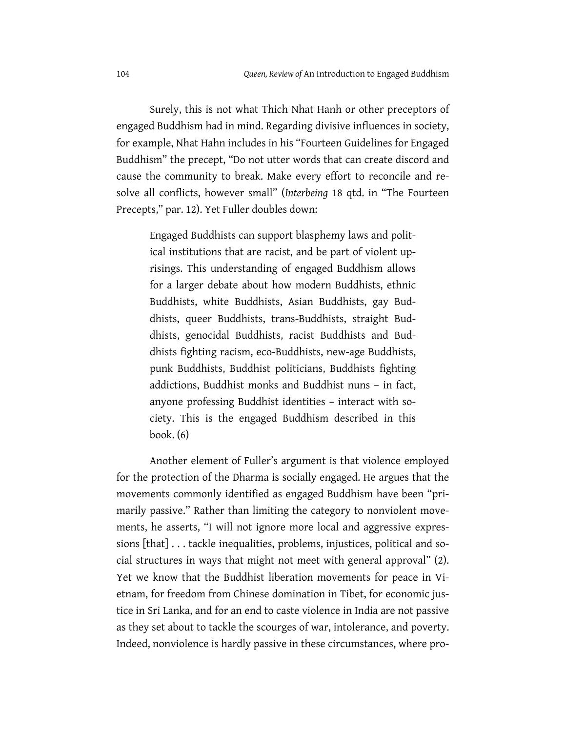Surely, this is not what Thich Nhat Hanh or other preceptors of engaged Buddhism had in mind. Regarding divisive influences in society, for example, Nhat Hahn includes in his "Fourteen Guidelines for Engaged Buddhism" the precept, "Do not utter words that can create discord and cause the community to break. Make every effort to reconcile and resolve all conflicts, however small" (*Interbeing* 18 qtd. in "The Fourteen Precepts," par. 12). Yet Fuller doubles down:

Engaged Buddhists can support blasphemy laws and political institutions that are racist, and be part of violent uprisings. This understanding of engaged Buddhism allows for a larger debate about how modern Buddhists, ethnic Buddhists, white Buddhists, Asian Buddhists, gay Buddhists, queer Buddhists, trans-Buddhists, straight Buddhists, genocidal Buddhists, racist Buddhists and Buddhists fighting racism, eco-Buddhists, new-age Buddhists, punk Buddhists, Buddhist politicians, Buddhists fighting addictions, Buddhist monks and Buddhist nuns – in fact, anyone professing Buddhist identities – interact with society. This is the engaged Buddhism described in this book. (6)

Another element of Fuller's argument is that violence employed for the protection of the Dharma is socially engaged. He argues that the movements commonly identified as engaged Buddhism have been "primarily passive." Rather than limiting the category to nonviolent movements, he asserts, "I will not ignore more local and aggressive expressions [that] . . . tackle inequalities, problems, injustices, political and social structures in ways that might not meet with general approval" (2). Yet we know that the Buddhist liberation movements for peace in Vietnam, for freedom from Chinese domination in Tibet, for economic justice in Sri Lanka, and for an end to caste violence in India are not passive as they set about to tackle the scourges of war, intolerance, and poverty. Indeed, nonviolence is hardly passive in these circumstances, where pro-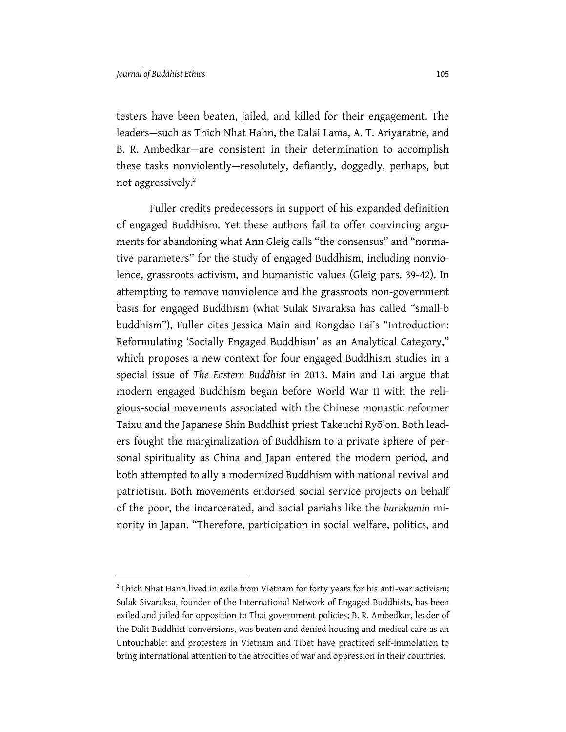testers have been beaten, jailed, and killed for their engagement. The leaders—such as Thich Nhat Hahn, the Dalai Lama, A. T. Ariyaratne, and B. R. Ambedkar—are consistent in their determination to accomplish these tasks nonviolently—resolutely, defiantly, doggedly, perhaps, but not aggressively.<sup>2</sup>

Fuller credits predecessors in support of his expanded definition of engaged Buddhism. Yet these authors fail to offer convincing arguments for abandoning what Ann Gleig calls "the consensus" and "normative parameters" for the study of engaged Buddhism, including nonviolence, grassroots activism, and humanistic values (Gleig pars. 39-42). In attempting to remove nonviolence and the grassroots non-government basis for engaged Buddhism (what Sulak Sivaraksa has called "small-b buddhism"), Fuller cites Jessica Main and Rongdao Lai's "Introduction: Reformulating 'Socially Engaged Buddhism' as an Analytical Category," which proposes a new context for four engaged Buddhism studies in a special issue of *The Eastern Buddhist* in 2013. Main and Lai argue that modern engaged Buddhism began before World War II with the religious-social movements associated with the Chinese monastic reformer Taixu and the Japanese Shin Buddhist priest Takeuchi Ryō'on. Both leaders fought the marginalization of Buddhism to a private sphere of personal spirituality as China and Japan entered the modern period, and both attempted to ally a modernized Buddhism with national revival and patriotism. Both movements endorsed social service projects on behalf of the poor, the incarcerated, and social pariahs like the *burakumin* minority in Japan. "Therefore, participation in social welfare, politics, and

 $2$  Thich Nhat Hanh lived in exile from Vietnam for forty years for his anti-war activism; Sulak Sivaraksa, founder of the International Network of Engaged Buddhists, has been exiled and jailed for opposition to Thai government policies; B. R. Ambedkar, leader of the Dalit Buddhist conversions, was beaten and denied housing and medical care as an Untouchable; and protesters in Vietnam and Tibet have practiced self-immolation to bring international attention to the atrocities of war and oppression in their countries.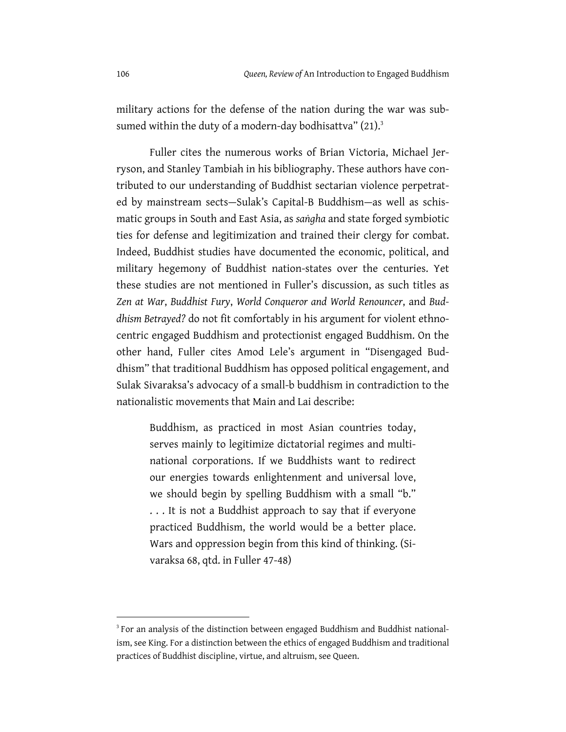military actions for the defense of the nation during the war was subsumed within the duty of a modern-day bodhisattva"  $(21)^3$ 

Fuller cites the numerous works of Brian Victoria, Michael Jerryson, and Stanley Tambiah in his bibliography. These authors have contributed to our understanding of Buddhist sectarian violence perpetrated by mainstream sects—Sulak's Capital-B Buddhism—as well as schismatic groups in South and East Asia, as *saṅgha* and state forged symbiotic ties for defense and legitimization and trained their clergy for combat. Indeed, Buddhist studies have documented the economic, political, and military hegemony of Buddhist nation-states over the centuries. Yet these studies are not mentioned in Fuller's discussion, as such titles as *Zen at War*, *Buddhist Fury*, *World Conqueror and World Renouncer*, and *Buddhism Betrayed?* do not fit comfortably in his argument for violent ethnocentric engaged Buddhism and protectionist engaged Buddhism. On the other hand, Fuller cites Amod Lele's argument in "Disengaged Buddhism" that traditional Buddhism has opposed political engagement, and Sulak Sivaraksa's advocacy of a small-b buddhism in contradiction to the nationalistic movements that Main and Lai describe:

Buddhism, as practiced in most Asian countries today, serves mainly to legitimize dictatorial regimes and multinational corporations. If we Buddhists want to redirect our energies towards enlightenment and universal love, we should begin by spelling Buddhism with a small "b." . . . It is not a Buddhist approach to say that if everyone practiced Buddhism, the world would be a better place. Wars and oppression begin from this kind of thinking. (Sivaraksa 68, qtd. in Fuller 47-48)

<sup>&</sup>lt;sup>3</sup> For an analysis of the distinction between engaged Buddhism and Buddhist nationalism, see King. For a distinction between the ethics of engaged Buddhism and traditional practices of Buddhist discipline, virtue, and altruism, see Queen.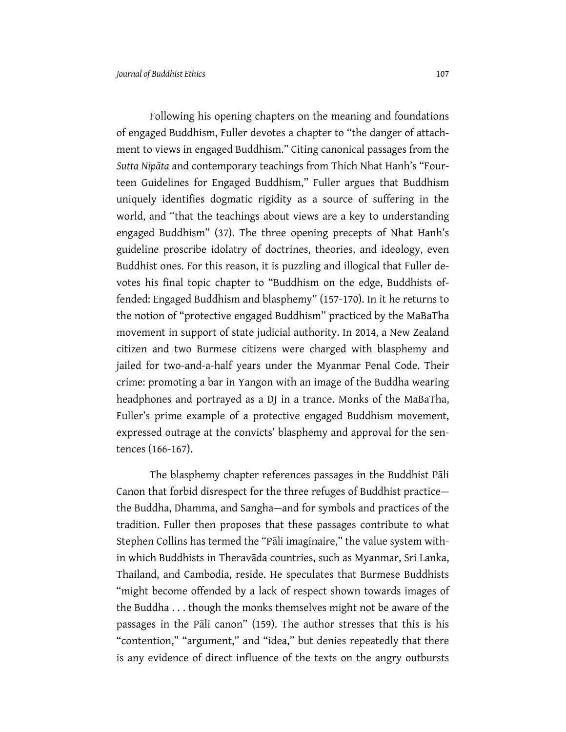Following his opening chapters on the meaning and foundations of engaged Buddhism, Fuller devotes a chapter to "the danger of attachment to views in engaged Buddhism." Citing canonical passages from the *Sutta Nipāta* and contemporary teachings from Thich Nhat Hanh's "Fourteen Guidelines for Engaged Buddhism," Fuller argues that Buddhism uniquely identifies dogmatic rigidity as a source of suffering in the world, and "that the teachings about views are a key to understanding engaged Buddhism" (37). The three opening precepts of Nhat Hanh's guideline proscribe idolatry of doctrines, theories, and ideology, even Buddhist ones. For this reason, it is puzzling and illogical that Fuller devotes his final topic chapter to "Buddhism on the edge, Buddhists offended: Engaged Buddhism and blasphemy" (157-170). In it he returns to the notion of "protective engaged Buddhism" practiced by the MaBaTha movement in support of state judicial authority. In 2014, a New Zealand citizen and two Burmese citizens were charged with blasphemy and jailed for two-and-a-half years under the Myanmar Penal Code. Their crime: promoting a bar in Yangon with an image of the Buddha wearing headphones and portrayed as a DJ in a trance. Monks of the MaBaTha, Fuller's prime example of a protective engaged Buddhism movement, expressed outrage at the convicts' blasphemy and approval for the sentences (166-167).

The blasphemy chapter references passages in the Buddhist Pāli Canon that forbid disrespect for the three refuges of Buddhist practice the Buddha, Dhamma, and Sangha—and for symbols and practices of the tradition. Fuller then proposes that these passages contribute to what Stephen Collins has termed the "Pāli imaginaire," the value system within which Buddhists in Theravāda countries, such as Myanmar, Sri Lanka, Thailand, and Cambodia, reside. He speculates that Burmese Buddhists "might become offended by a lack of respect shown towards images of the Buddha . . . though the monks themselves might not be aware of the passages in the Pāli canon" (159). The author stresses that this is his "contention," "argument," and "idea," but denies repeatedly that there is any evidence of direct influence of the texts on the angry outbursts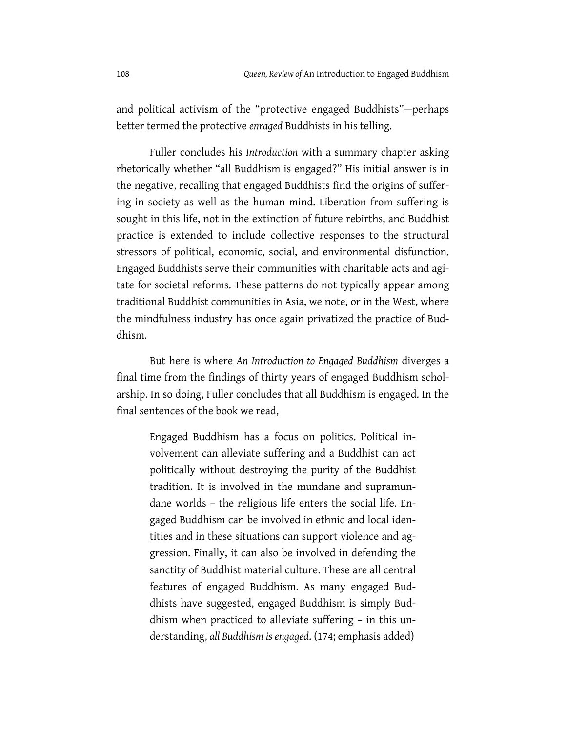and political activism of the "protective engaged Buddhists"—perhaps better termed the protective *enraged* Buddhists in his telling.

Fuller concludes his *Introduction* with a summary chapter asking rhetorically whether "all Buddhism is engaged?" His initial answer is in the negative, recalling that engaged Buddhists find the origins of suffering in society as well as the human mind. Liberation from suffering is sought in this life, not in the extinction of future rebirths, and Buddhist practice is extended to include collective responses to the structural stressors of political, economic, social, and environmental disfunction. Engaged Buddhists serve their communities with charitable acts and agitate for societal reforms. These patterns do not typically appear among traditional Buddhist communities in Asia, we note, or in the West, where the mindfulness industry has once again privatized the practice of Buddhism.

But here is where *An Introduction to Engaged Buddhism* diverges a final time from the findings of thirty years of engaged Buddhism scholarship. In so doing, Fuller concludes that all Buddhism is engaged. In the final sentences of the book we read,

Engaged Buddhism has a focus on politics. Political involvement can alleviate suffering and a Buddhist can act politically without destroying the purity of the Buddhist tradition. It is involved in the mundane and supramundane worlds – the religious life enters the social life. Engaged Buddhism can be involved in ethnic and local identities and in these situations can support violence and aggression. Finally, it can also be involved in defending the sanctity of Buddhist material culture. These are all central features of engaged Buddhism. As many engaged Buddhists have suggested, engaged Buddhism is simply Buddhism when practiced to alleviate suffering – in this understanding, *all Buddhism is engaged*. (174; emphasis added)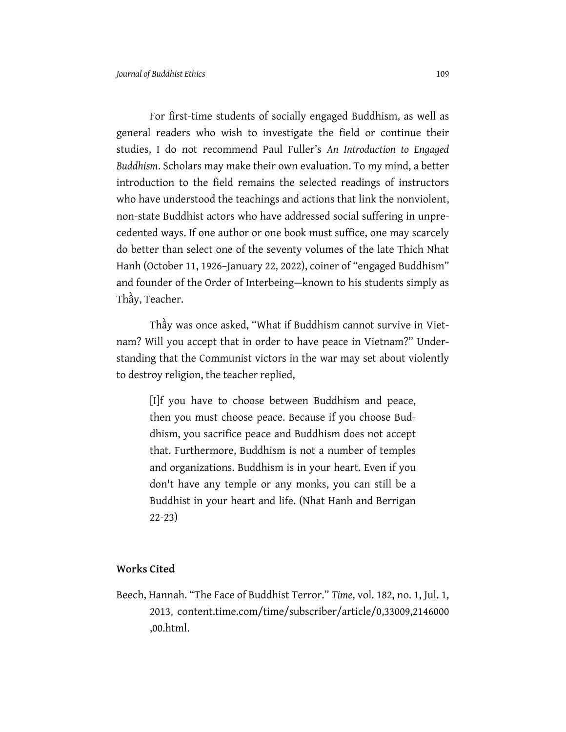For first-time students of socially engaged Buddhism, as well as general readers who wish to investigate the field or continue their studies, I do not recommend Paul Fuller's *An Introduction to Engaged Buddhism*. Scholars may make their own evaluation. To my mind, a better introduction to the field remains the selected readings of instructors who have understood the teachings and actions that link the nonviolent, non-state Buddhist actors who have addressed social suffering in unprecedented ways. If one author or one book must suffice, one may scarcely do better than select one of the seventy volumes of the late Thich Nhat Hanh (October 11, 1926–January 22, 2022), coiner of "engaged Buddhism" and founder of the Order of Interbeing—known to his students simply as Thầy, Teacher.

Thầy was once asked, "What if Buddhism cannot survive in Vietnam? Will you accept that in order to have peace in Vietnam?" Understanding that the Communist victors in the war may set about violently to destroy religion, the teacher replied,

[I]f you have to choose between Buddhism and peace, then you must choose peace. Because if you choose Buddhism, you sacrifice peace and Buddhism does not accept that. Furthermore, Buddhism is not a number of temples and organizations. Buddhism is in your heart. Even if you don't have any temple or any monks, you can still be a Buddhist in your heart and life. (Nhat Hanh and Berrigan 22-23)

## **Works Cited**

Beech, Hannah. "The Face of Buddhist Terror." *Time*, vol. 182, no. 1, Jul. 1, 2013, content.time.com/time/subscriber/article/0,33009,2146000 ,00.html.